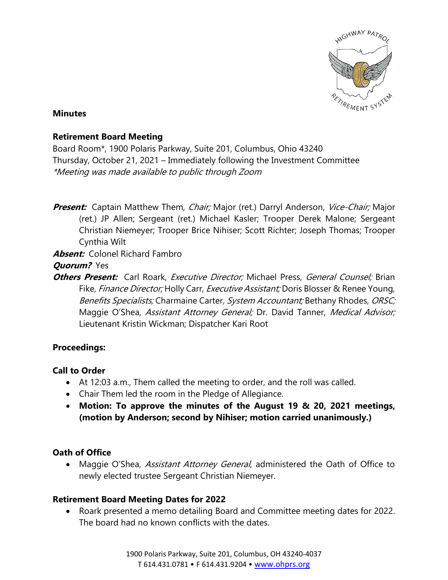

#### **Minutes**

### **Retirement Board Meeting**

Board Room\*, 1900 Polaris Parkway, Suite 201, Columbus, Ohio 43240 Thursday, October 21, 2021 – Immediately following the Investment Committee \*Meeting was made available to public through Zoom

**Present:** Captain Matthew Them, *Chair;* Major (ret.) Darryl Anderson, *Vice-Chair;* Major (ret.) JP Allen; Sergeant (ret.) Michael Kasler; Trooper Derek Malone; Sergeant Christian Niemeyer; Trooper Brice Nihiser; Scott Richter; Joseph Thomas; Trooper Cynthia Wilt

**Absent:** Colonel Richard Fambro

**Quorum?** Yes

**Others Present:** Carl Roark, *Executive Director;* Michael Press, *General Counsel;* Brian Fike, *Finance Director;* Holly Carr, *Executive Assistant;* Doris Blosser & Renee Young, Benefits Specialists; Charmaine Carter, System Accountant; Bethany Rhodes, ORSC; Maggie O'Shea, Assistant Attorney General; Dr. David Tanner, Medical Advisor; Lieutenant Kristin Wickman; Dispatcher Kari Root

# **Proceedings:**

# **Call to Order**

- At 12:03 a.m., Them called the meeting to order, and the roll was called.
- Chair Them led the room in the Pledge of Allegiance.
- **Motion: To approve the minutes of the August 19 & 20, 2021 meetings, (motion by Anderson; second by Nihiser; motion carried unanimously.)**

# **Oath of Office**

• Maggie O'Shea, *Assistant Attorney General*, administered the Oath of Office to newly elected trustee Sergeant Christian Niemeyer.

# **Retirement Board Meeting Dates for 2022**

• Roark presented a memo detailing Board and Committee meeting dates for 2022. The board had no known conflicts with the dates.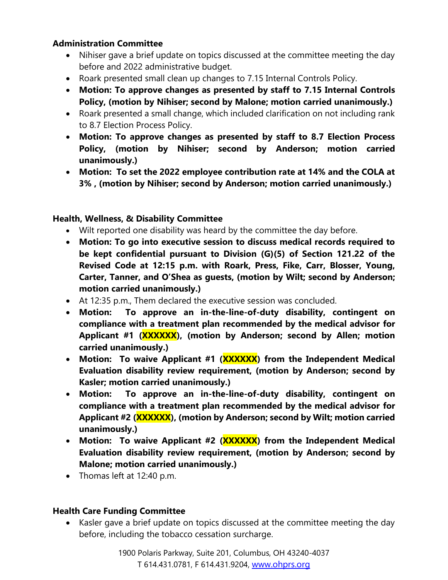### **Administration Committee**

- Nihiser gave a brief update on topics discussed at the committee meeting the day before and 2022 administrative budget.
- Roark presented small clean up changes to 7.15 Internal Controls Policy.
- **Motion: To approve changes as presented by staff to 7.15 Internal Controls Policy, (motion by Nihiser; second by Malone; motion carried unanimously.)**
- Roark presented a small change, which included clarification on not including rank to 8.7 Election Process Policy.
- **Motion: To approve changes as presented by staff to 8.7 Election Process Policy, (motion by Nihiser; second by Anderson; motion carried unanimously.)**
- **Motion: To set the 2022 employee contribution rate at 14% and the COLA at 3% , (motion by Nihiser; second by Anderson; motion carried unanimously.)**

# **Health, Wellness, & Disability Committee**

- Wilt reported one disability was heard by the committee the day before.
- **Motion: To go into executive session to discuss medical records required to be kept confidential pursuant to Division (G)(5) of Section 121.22 of the Revised Code at 12:15 p.m. with Roark, Press, Fike, Carr, Blosser, Young, Carter, Tanner, and O'Shea as guests, (motion by Wilt; second by Anderson; motion carried unanimously.)**
- At 12:35 p.m., Them declared the executive session was concluded.
- **Motion: To approve an in-the-line-of-duty disability, contingent on compliance with a treatment plan recommended by the medical advisor for Applicant #1 (XXXXXX), (motion by Anderson; second by Allen; motion carried unanimously.)**
- **Motion: To waive Applicant #1 (XXXXXX) from the Independent Medical Evaluation disability review requirement, (motion by Anderson; second by Kasler; motion carried unanimously.)**
- **Motion: To approve an in-the-line-of-duty disability, contingent on compliance with a treatment plan recommended by the medical advisor for Applicant #2 (XXXXXX), (motion by Anderson; second by Wilt; motion carried unanimously.)**
- **Motion: To waive Applicant #2 (XXXXXX) from the Independent Medical Evaluation disability review requirement, (motion by Anderson; second by Malone; motion carried unanimously.)**
- Thomas left at 12:40 p.m.

# **Health Care Funding Committee**

• Kasler gave a brief update on topics discussed at the committee meeting the day before, including the tobacco cessation surcharge.

> 1900 Polaris Parkway, Suite 201, Columbus, OH 43240-4037 T 614.431.0781, F 614.431.9204, [www.ohprs.org](http://www.ohprs.org/)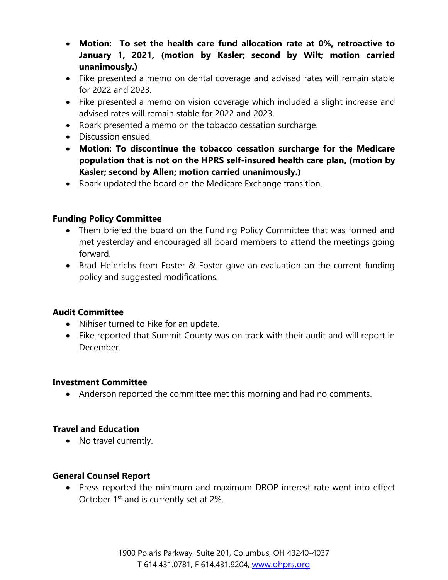- **Motion: To set the health care fund allocation rate at 0%, retroactive to January 1, 2021, (motion by Kasler; second by Wilt; motion carried unanimously.)**
- Fike presented a memo on dental coverage and advised rates will remain stable for 2022 and 2023.
- Fike presented a memo on vision coverage which included a slight increase and advised rates will remain stable for 2022 and 2023.
- Roark presented a memo on the tobacco cessation surcharge.
- Discussion ensued.
- **Motion: To discontinue the tobacco cessation surcharge for the Medicare population that is not on the HPRS self-insured health care plan, (motion by Kasler; second by Allen; motion carried unanimously.)**
- Roark updated the board on the Medicare Exchange transition.

# **Funding Policy Committee**

- Them briefed the board on the Funding Policy Committee that was formed and met yesterday and encouraged all board members to attend the meetings going forward.
- Brad Heinrichs from Foster & Foster gave an evaluation on the current funding policy and suggested modifications.

# **Audit Committee**

- Nihiser turned to Fike for an update.
- Fike reported that Summit County was on track with their audit and will report in December.

#### **Investment Committee**

• Anderson reported the committee met this morning and had no comments.

#### **Travel and Education**

• No travel currently.

#### **General Counsel Report**

• Press reported the minimum and maximum DROP interest rate went into effect October 1<sup>st</sup> and is currently set at 2%.